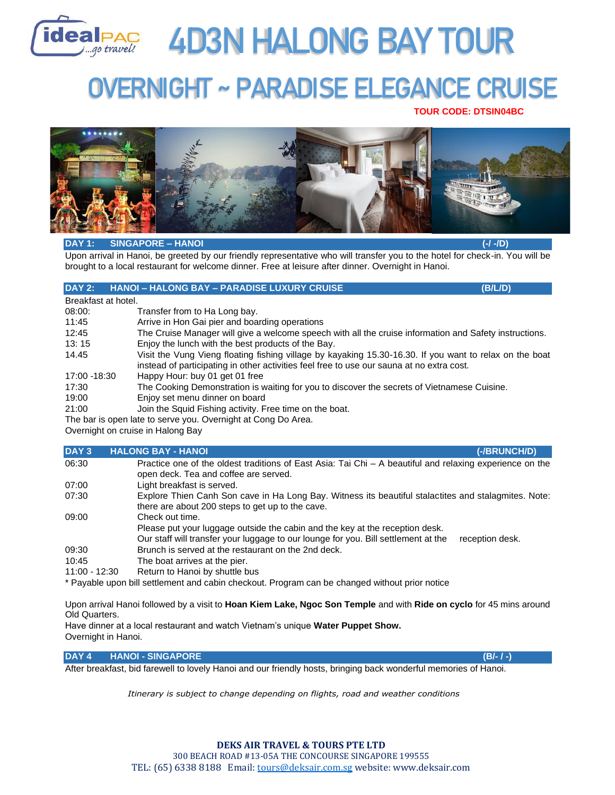

# **AD3N HALONG BAY TOUR**

## **OVERNIGHT ~ PARADISE ELEGANCE CRUISE**

 **TOUR CODE: DTSIN04BC**



## **DAY 1: SINGAPORE – HANOI (-/ -/D)**

Upon arrival in Hanoi, be greeted by our friendly representative who will transfer you to the hotel for check-in. You will be brought to a local restaurant for welcome dinner. Free at leisure after dinner. Overnight in Hanoi.

## **DAY 2: HANOI – HALONG BAY – PARADISE LUXURY CRUISE (B/L/D)**

Breakfast at hotel.

- 08:00: Transfer from to Ha Long bay.
- 11:45 Arrive in Hon Gai pier and boarding operations
- 12:45 The Cruise Manager will give a welcome speech with all the cruise information and Safety instructions.
- 13: 15 Enjoy the lunch with the best products of the Bay.
- 14.45 Visit the Vung Vieng floating fishing village by kayaking 15.30-16.30. If you want to relax on the boat instead of participating in other activities feel free to use our sauna at no extra cost.
- 17:00 -18:30 Happy Hour: buy 01 get 01 free
- 17:30 The Cooking Demonstration is waiting for you to discover the secrets of Vietnamese Cuisine.
- 19:00 Enjoy set menu dinner on board
- 21:00 Join the Squid Fishing activity. Free time on the boat.
- The bar is open late to serve you. Overnight at Cong Do Area.

Overnight on cruise in Halong Bay

#### **DAY 3 HALONG BAY - HANOI (-/BRUNCH/D)**

|               | $\blacksquare$<br>ושווטווטו                                                                                                                                                                              |
|---------------|----------------------------------------------------------------------------------------------------------------------------------------------------------------------------------------------------------|
| 06:30         | Practice one of the oldest traditions of East Asia: Tai Chi $-$ A beautiful and relaxing experience on the<br>open deck. Tea and coffee are served.                                                      |
| 07:00         | Light breakfast is served.                                                                                                                                                                               |
| 07:30         | Explore Thien Canh Son cave in Ha Long Bay. Witness its beautiful stalactites and stalagmites. Note:<br>there are about 200 steps to get up to the cave.                                                 |
| 09:00         | Check out time.<br>Please put your luggage outside the cabin and the key at the reception desk.<br>Our staff will transfer your luggage to our lounge for you. Bill settlement at the<br>reception desk. |
| 09:30         | Brunch is served at the restaurant on the 2nd deck.                                                                                                                                                      |
| 10:45         | The boat arrives at the pier.                                                                                                                                                                            |
| 11:00 - 12:30 | Return to Hanoi by shuttle bus                                                                                                                                                                           |

\* Payable upon bill settlement and cabin checkout. Program can be changed without prior notice

Upon arrival Hanoi followed by a visit to **Hoan Kiem Lake, Ngoc Son Temple** and with **Ride on cyclo** for 45 mins around Old Quarters.

Have dinner at a local restaurant and watch Vietnam's unique **Water Puppet Show.** Overnight in Hanoi.

**DAY 4 HANOI - SINGAPORE (B/- / -)**

After breakfast, bid farewell to lovely Hanoi and our friendly hosts, bringing back wonderful memories of Hanoi.

*Itinerary is subject to change depending on flights, road and weather conditions*